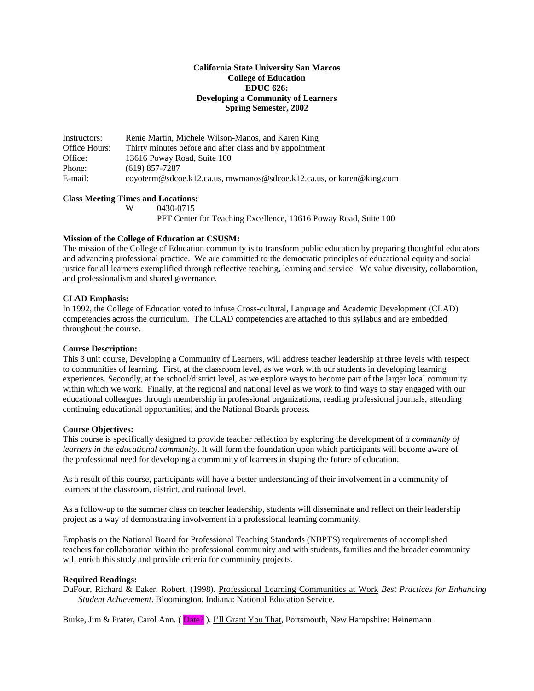## **California State University San Marcos College of Education EDUC 626: Developing a Community of Learners Spring Semester, 2002**

Instructors: Renie Martin, Michele Wilson-Manos, and Karen King Office Hours: Thirty minutes before and after class and by appointment Office: 13616 Poway Road, Suite 100<br>Phone: (619) 857-7287  $(619)$  857-7287 E-mail: coyoterm@sdcoe.k12.ca.us, mwmanos@sdcoe.k12.ca.us, or karen@king.com

### **Class Meeting Times and Locations:**

W 0430-0715

PFT Center for Teaching Excellence, 13616 Poway Road, Suite 100

# **Mission of the College of Education at CSUSM:**

The mission of the College of Education community is to transform public education by preparing thoughtful educators and advancing professional practice. We are committed to the democratic principles of educational equity and social justice for all learners exemplified through reflective teaching, learning and service. We value diversity, collaboration, and professionalism and shared governance.

## **CLAD Emphasis:**

In 1992, the College of Education voted to infuse Cross-cultural, Language and Academic Development (CLAD) competencies across the curriculum. The CLAD competencies are attached to this syllabus and are embedded throughout the course.

### **Course Description:**

This 3 unit course, Developing a Community of Learners, will address teacher leadership at three levels with respect to communities of learning. First, at the classroom level, as we work with our students in developing learning experiences. Secondly, at the school/district level, as we explore ways to become part of the larger local community within which we work. Finally, at the regional and national level as we work to find ways to stay engaged with our educational colleagues through membership in professional organizations, reading professional journals, attending continuing educational opportunities, and the National Boards process.

#### **Course Objectives:**

This course is specifically designed to provide teacher reflection by exploring the development of *a community of learners in the educational community*. It will form the foundation upon which participants will become aware of the professional need for developing a community of learners in shaping the future of education.

As a result of this course, participants will have a better understanding of their involvement in a community of learners at the classroom, district, and national level.

As a follow-up to the summer class on teacher leadership, students will disseminate and reflect on their leadership project as a way of demonstrating involvement in a professional learning community.

Emphasis on the National Board for Professional Teaching Standards (NBPTS) requirements of accomplished teachers for collaboration within the professional community and with students, families and the broader community will enrich this study and provide criteria for community projects.

# **Required Readings:**

DuFour, Richard & Eaker, Robert, (1998). Professional Learning Communities at Work *Best Practices for Enhancing Student Achievement*. Bloomington, Indiana: National Education Service.

Burke, Jim & Prater, Carol Ann. (Date?). I'll Grant You That, Portsmouth, New Hampshire: Heinemann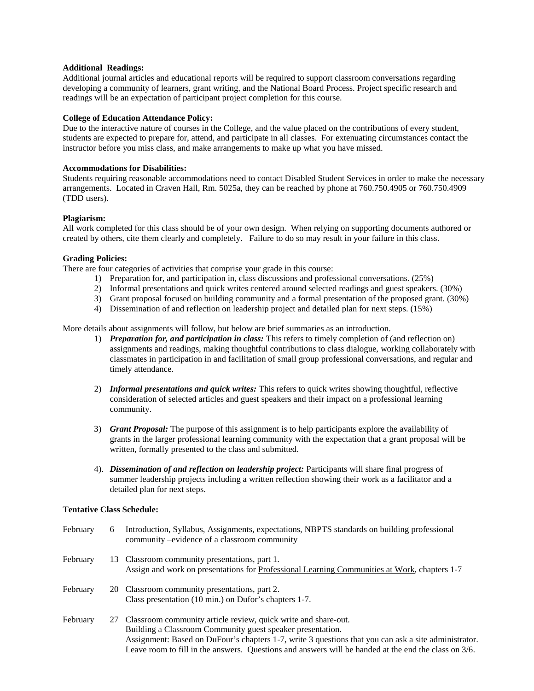### **Additional Readings:**

Additional journal articles and educational reports will be required to support classroom conversations regarding developing a community of learners, grant writing, and the National Board Process. Project specific research and readings will be an expectation of participant project completion for this course.

## **College of Education Attendance Policy:**

Due to the interactive nature of courses in the College, and the value placed on the contributions of every student, students are expected to prepare for, attend, and participate in all classes. For extenuating circumstances contact the instructor before you miss class, and make arrangements to make up what you have missed.

### **Accommodations for Disabilities:**

Students requiring reasonable accommodations need to contact Disabled Student Services in order to make the necessary arrangements. Located in Craven Hall, Rm. 5025a, they can be reached by phone at 760.750.4905 or 760.750.4909 (TDD users).

## **Plagiarism:**

All work completed for this class should be of your own design. When relying on supporting documents authored or created by others, cite them clearly and completely. Failure to do so may result in your failure in this class.

# **Grading Policies:**

There are four categories of activities that comprise your grade in this course:

- 1) Preparation for, and participation in, class discussions and professional conversations. (25%)
- 2) Informal presentations and quick writes centered around selected readings and guest speakers. (30%)
- 3) Grant proposal focused on building community and a formal presentation of the proposed grant. (30%)
- 4) Dissemination of and reflection on leadership project and detailed plan for next steps. (15%)

More details about assignments will follow, but below are brief summaries as an introduction.

- 1) *Preparation for, and participation in class:* This refers to timely completion of (and reflection on) assignments and readings, making thoughtful contributions to class dialogue, working collaborately with classmates in participation in and facilitation of small group professional conversations, and regular and timely attendance.
- 2) *Informal presentations and quick writes:* This refers to quick writes showing thoughtful, reflective consideration of selected articles and guest speakers and their impact on a professional learning community.
- 3) *Grant Proposal:* The purpose of this assignment is to help participants explore the availability of grants in the larger professional learning community with the expectation that a grant proposal will be written, formally presented to the class and submitted.
- 4). *Dissemination of and reflection on leadership project:* Participants will share final progress of summer leadership projects including a written reflection showing their work as a facilitator and a detailed plan for next steps.

# **Tentative Class Schedule:**

| February | 6 | Introduction, Syllabus, Assignments, expectations, NBPTS standards on building professional<br>community –evidence of a classroom community                                                                                                                                                                                                     |
|----------|---|-------------------------------------------------------------------------------------------------------------------------------------------------------------------------------------------------------------------------------------------------------------------------------------------------------------------------------------------------|
| February |   | 13 Classroom community presentations, part 1.<br>Assign and work on presentations for Professional Learning Communities at Work, chapters 1-7                                                                                                                                                                                                   |
| February |   | 20 Classroom community presentations, part 2.<br>Class presentation (10 min.) on Dufor's chapters 1-7.                                                                                                                                                                                                                                          |
| February |   | 27 Classroom community article review, quick write and share-out.<br>Building a Classroom Community guest speaker presentation.<br>Assignment: Based on DuFour's chapters 1-7, write 3 questions that you can ask a site administrator.<br>Leave room to fill in the answers. Questions and answers will be handed at the end the class on 3/6. |